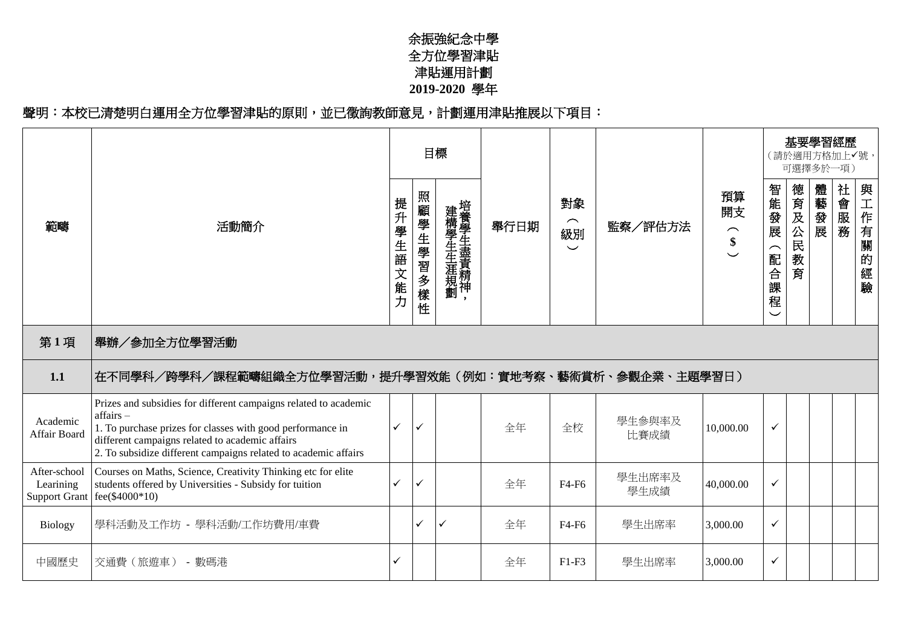## 余振強紀念中學 全方位學習津貼 津貼運用計劃 **2019-2020** 學年

## 聲明︰本校已清楚明白運用全方位學習津貼的原則,並已徵詢教師意見,計劃運用津貼推展以下項目:

|                           |                                                                                                                                                                                                                                                                  |              |              | 目標                |      |                                  |                |                                           |                                                                     |                 | 基要學習經歷<br>(請於適用方格加上✔號,<br>可選擇多於一項) |           |                        |
|---------------------------|------------------------------------------------------------------------------------------------------------------------------------------------------------------------------------------------------------------------------------------------------------------|--------------|--------------|-------------------|------|----------------------------------|----------------|-------------------------------------------|---------------------------------------------------------------------|-----------------|------------------------------------|-----------|------------------------|
| 範疇                        | 活動簡介                                                                                                                                                                                                                                                             | 提升<br>學生語文能力 | 照顧學生學習多樣性    | 建構學生生涯規劃培養學生盡責精神, | 舉行日期 | 對象<br>$\frown$<br>級別<br>$\smile$ | 監察/評估方法        | 預算<br>開支<br>$\widehat{\phantom{1}}$<br>\$ | 智能發展<br>$\overline{\phantom{1}}$<br>配<br>合<br>課<br>程<br>$\check{ }$ | 德育及公民<br>教<br>育 | 體<br>满藝發展                          | 社<br>一會服務 | 與<br>(工作有)<br>關的<br>經驗 |
| 第1項                       | 舉辦/參加全方位學習活動                                                                                                                                                                                                                                                     |              |              |                   |      |                                  |                |                                           |                                                                     |                 |                                    |           |                        |
| 1.1                       | 在不同學科/跨學科/課程範疇組織全方位學習活動,提升學習效能(例如:實地考察、藝術賞析、參觀企業、主題學習日)                                                                                                                                                                                                          |              |              |                   |      |                                  |                |                                           |                                                                     |                 |                                    |           |                        |
| Academic<br>Affair Board  | Prizes and subsidies for different campaigns related to academic<br>affairs-<br>1. To purchase prizes for classes with good performance in<br>different campaigns related to academic affairs<br>2. To subsidize different campaigns related to academic affairs | $\checkmark$ | $\checkmark$ |                   | 全年   | 全校                               | 學生參與率及<br>比賽成績 | 10,000.00                                 | $\checkmark$                                                        |                 |                                    |           |                        |
| After-school<br>Learining | Courses on Maths, Science, Creativity Thinking etc for elite<br>students offered by Universities - Subsidy for tuition<br>Support Grant   fee(\$4000*10)                                                                                                         | ✓            | ✓            |                   | 全年   | F4-F6                            | 學生出席率及<br>學生成績 | 40,000.00                                 | $\checkmark$                                                        |                 |                                    |           |                        |
| <b>Biology</b>            | 學科活動及工作坊 - 學科活動/工作坊費用/車費                                                                                                                                                                                                                                         |              | $\checkmark$ | $\checkmark$      | 全年   | F4-F6                            | 學生出席率          | 3,000.00                                  | $\checkmark$                                                        |                 |                                    |           |                        |
| 中國歷史                      | 交通費 (旅遊車) - 數碼港                                                                                                                                                                                                                                                  | ✓            |              |                   | 全年   | $F1-F3$                          | 學生出席率          | 3,000.00                                  | $\checkmark$                                                        |                 |                                    |           |                        |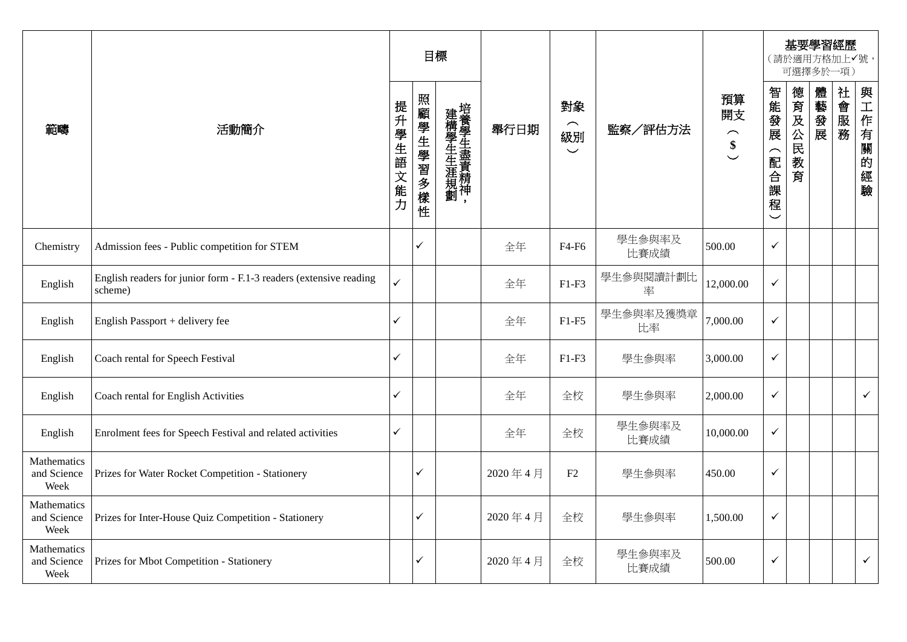|                                    |                                                                               |               |           | 目標                |         |                                                     |                 |                                             |                                   |             | 基要學習經歷<br>(請於適用方格加上√號,<br>可選擇多於一項) |      |              |
|------------------------------------|-------------------------------------------------------------------------------|---------------|-----------|-------------------|---------|-----------------------------------------------------|-----------------|---------------------------------------------|-----------------------------------|-------------|------------------------------------|------|--------------|
| 範疇                                 | 活動簡介                                                                          | 提升學生語<br> 文能力 | 照顧學生學習多樣性 | 建構學生生涯規劃培養學生盡責精神, | 舉行日期    | 對象<br>$\widehat{\phantom{m}}$<br>級別<br>$\checkmark$ | 監察/評估方法         | 預算<br>開支<br>$\widehat{\phantom{m}}$<br>$\$$ | 智能發展<br>(配合課<br>程<br>$\checkmark$ | 德育及公民教<br>育 | 體藝發展                               | 社會服務 | 與工作有關的經驗     |
| Chemistry                          | Admission fees - Public competition for STEM                                  |               | ✓         |                   | 全年      | F4-F6                                               | 學生參與率及<br>比賽成績  | 500.00                                      | $\checkmark$                      |             |                                    |      |              |
| English                            | English readers for junior form - F.1-3 readers (extensive reading<br>scheme) | ✓             |           |                   | 全年      | $F1-F3$                                             | 學生參與閱讀計劃比<br>率  | 12,000.00                                   | $\checkmark$                      |             |                                    |      |              |
| English                            | English Passport + delivery fee                                               | ✓             |           |                   | 全年      | $F1-F5$                                             | 學生參與率及獲獎章<br>比率 | 7,000.00                                    | $\checkmark$                      |             |                                    |      |              |
| English                            | Coach rental for Speech Festival                                              | ✓             |           |                   | 全年      | $F1-F3$                                             | 學生參與率           | 3,000.00                                    | $\checkmark$                      |             |                                    |      |              |
| English                            | Coach rental for English Activities                                           | ✓             |           |                   | 全年      | 全校                                                  | 學生參與率           | 2,000.00                                    | $\checkmark$                      |             |                                    |      | $\checkmark$ |
| English                            | Enrolment fees for Speech Festival and related activities                     | ✓             |           |                   | 全年      | 全校                                                  | 學生參與率及<br>比賽成績  | 10,000.00                                   | $\checkmark$                      |             |                                    |      |              |
| Mathematics<br>and Science<br>Week | Prizes for Water Rocket Competition - Stationery                              |               | ✓         |                   | 2020年4月 | F2                                                  | 學生參與率           | 450.00                                      | $\checkmark$                      |             |                                    |      |              |
| Mathematics<br>and Science<br>Week | Prizes for Inter-House Quiz Competition - Stationery                          |               | ✓         |                   | 2020年4月 | 全校                                                  | 學生參與率           | 1,500.00                                    | $\checkmark$                      |             |                                    |      |              |
| Mathematics<br>and Science<br>Week | Prizes for Mbot Competition - Stationery                                      |               | ✓         |                   | 2020年4月 | 全校                                                  | 學生參與率及<br>比賽成績  | 500.00                                      | $\checkmark$                      |             |                                    |      | $\checkmark$ |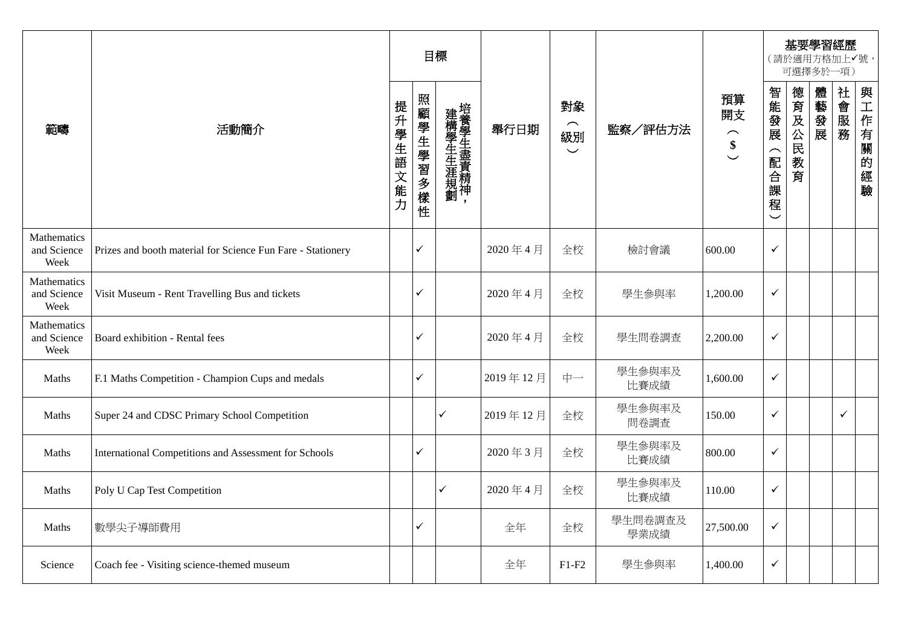|                                    |                                                              |          | 目標        |                  |          |                                                     |                 |                                                 |                                                   | 可選擇多於一項)        |      | 基要學習經歷<br>(請於適用方格加上√號, |              |
|------------------------------------|--------------------------------------------------------------|----------|-----------|------------------|----------|-----------------------------------------------------|-----------------|-------------------------------------------------|---------------------------------------------------|-----------------|------|------------------------|--------------|
| 範疇                                 | 活動簡介                                                         | 提升學生語文能力 | 照顧學生學習多樣性 | 建構學生生涯規劃培養學生盡責精神 | 舉行日期     | 對象<br>$\widehat{\phantom{m}}$<br>級別<br>$\checkmark$ | 監察/評估方法         | 預算<br>開支<br>$\overbrace{\phantom{1}}^{\bullet}$ | 智能發展<br>(配合<br>課<br>程<br>$\overline{\phantom{0}}$ | 德育及公民<br>教<br>育 | 體藝發展 | 社會服務                   | 與工作有關的<br>經驗 |
| Mathematics<br>and Science<br>Week | Prizes and booth material for Science Fun Fare - Stationery  |          | ✓         |                  | 2020年4月  | 全校                                                  | 檢討會議            | 600.00                                          | $\checkmark$                                      |                 |      |                        |              |
| Mathematics<br>and Science<br>Week | Visit Museum - Rent Travelling Bus and tickets               |          | ✓         |                  | 2020年4月  | 全校                                                  | 學生參與率           | 1,200.00                                        | $\checkmark$                                      |                 |      |                        |              |
| Mathematics<br>and Science<br>Week | Board exhibition - Rental fees                               |          | ✓         |                  | 2020年4月  | 全校                                                  | 學生問卷調查          | 2,200.00                                        | $\checkmark$                                      |                 |      |                        |              |
| Maths                              | F.1 Maths Competition - Champion Cups and medals             |          | ✓         |                  | 2019年12月 | 中一                                                  | 學生參與率及<br>比賽成績  | 1,600.00                                        | $\checkmark$                                      |                 |      |                        |              |
| Maths                              | Super 24 and CDSC Primary School Competition                 |          |           | $\checkmark$     | 2019年12月 | 全校                                                  | 學生參與率及<br>問卷調查  | 150.00                                          | $\checkmark$                                      |                 |      | $\checkmark$           |              |
| Maths                              | <b>International Competitions and Assessment for Schools</b> |          | ✓         |                  | 2020年3月  | 全校                                                  | 學生參與率及<br>比賽成績  | 800.00                                          | $\checkmark$                                      |                 |      |                        |              |
| Maths                              | Poly U Cap Test Competition                                  |          |           | $\checkmark$     | 2020年4月  | 全校                                                  | 學生參與率及<br>比賽成績  | 110.00                                          | $\checkmark$                                      |                 |      |                        |              |
| Maths                              | 數學尖子導師費用                                                     |          | ✓         |                  | 全年       | 全校                                                  | 學生問卷調查及<br>學業成績 | 27,500.00                                       | $\checkmark$                                      |                 |      |                        |              |
| Science                            | Coach fee - Visiting science-themed museum                   |          |           |                  | 全年       | $F1-F2$                                             | 學生參與率           | 1,400.00                                        | $\checkmark$                                      |                 |      |                        |              |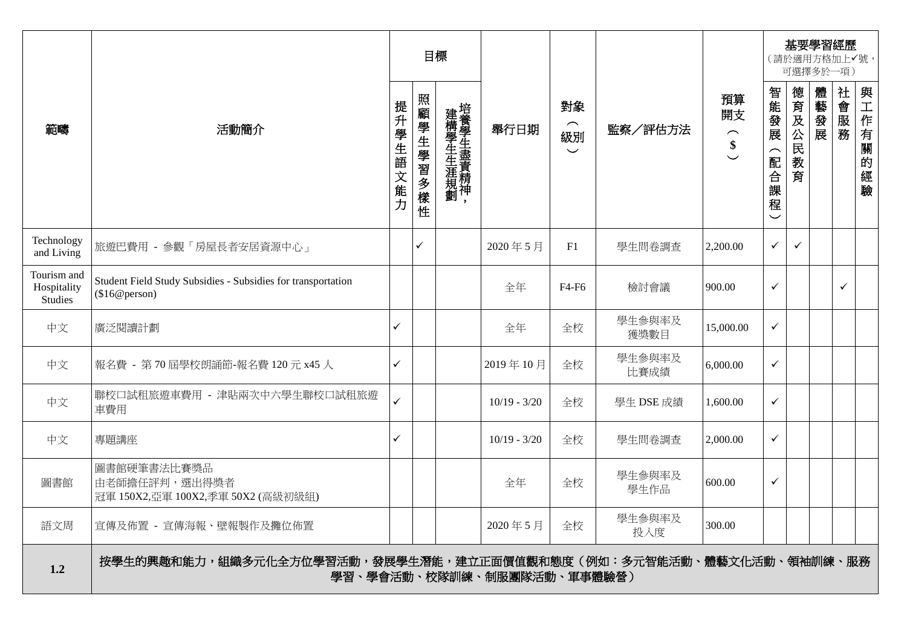|                                              |                                                                               |              | 目標           |                   |                            |                                  |                |                                |                   |              | 可選擇多於一項) | 基要學習經歷<br>(請於適用方格加上√號, |                   |
|----------------------------------------------|-------------------------------------------------------------------------------|--------------|--------------|-------------------|----------------------------|----------------------------------|----------------|--------------------------------|-------------------|--------------|----------|------------------------|-------------------|
| 範疇                                           | 活動簡介                                                                          | 提升學生語文能力     | 照顧學生學習多樣性    | 建構學生生涯規劃培養學生盡責精神, | 舉行日期                       | 對象<br>$\frown$<br>級別<br>$\smile$ | 監察/評估方法        | 預算<br>開支<br>$\frown$<br>$\sum$ | 智能發展<br>(配合課<br>寉 | 德育及公民教育      | 體藝發展     | 社會服務                   | 與工作有關<br>的<br>"經驗 |
| Technology<br>and Living                     | 旅遊巴費用 - 參觀「房屋長者安居資源中心」                                                        |              | $\checkmark$ |                   | 2020年5月                    | F1                               | 學生問卷調查         | 2,200.00                       | $\checkmark$      | $\checkmark$ |          |                        |                   |
| Tourism and<br>Hospitality<br><b>Studies</b> | Student Field Study Subsidies - Subsidies for transportation<br>(\$16@person) |              |              |                   | 全年                         | F4-F6                            | 檢討會議           | 900.00                         | $\checkmark$      |              |          | $\checkmark$           |                   |
| 中文                                           | 廣泛閱讀計劃                                                                        | $\checkmark$ |              |                   | 全年                         | 全校                               | 學生參與率及<br>獲獎數目 | 15,000.00                      | $\checkmark$      |              |          |                        |                   |
| 中文                                           | 報名費 - 第70屆學校朗誦節-報名費 120元 x45人                                                 | $\checkmark$ |              |                   | 2019年10月                   | 全校                               | 學生參與率及<br>比賽成績 | 6,000.00                       | $\checkmark$      |              |          |                        |                   |
| 中文                                           | 聯校口試租旅遊車費用 - 津貼兩次中六學生聯校口試租旅遊<br>車費用                                           |              |              |                   | $10/19 - 3/20$             | 全校                               | 學生 DSE 成績      | 1,600.00                       | $\checkmark$      |              |          |                        |                   |
| 中文                                           | 專題講座                                                                          | $\checkmark$ |              |                   | $10/19 - 3/20$             | 全校                               | 學生問卷調查         | 2,000.00                       | $\checkmark$      |              |          |                        |                   |
| 圖書館                                          | 圖書館硬筆書法比賽獎品<br>由老師擔任評判,選出得獎者<br>冠軍 150X2,亞軍 100X2,季軍 50X2 (高級初級組)             |              |              |                   | 全年                         | 全校                               | 學生參與率及<br>學生作品 | 600.00                         | $\checkmark$      |              |          |                        |                   |
| 語文周                                          | 宣傳及佈置 - 宣傳海報、壁報製作及攤位佈置                                                        |              |              |                   | 2020年5月                    | 全校                               | 學生參與率及<br>投入度  | 300.00                         |                   |              |          |                        |                   |
| 1.2                                          | 按學生的興趣和能力,組織多元化全方位學習活動,發展學生潛能,建立正面價值觀和態度(例如:多元智能活動、體藝文化活動、領袖訓練、服務             |              |              |                   | 學習、學會活動、校隊訓練、制服團隊活動、軍事體驗營) |                                  |                |                                |                   |              |          |                        |                   |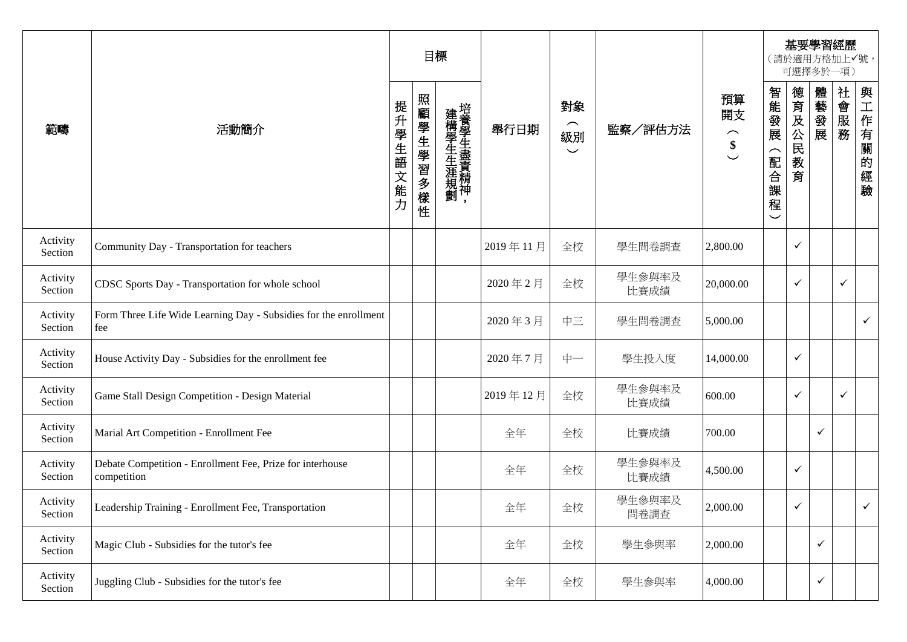|                     |                                                                          |                   |           | 目標                |          |                                                 |                |                                                                |                                           |                 |              | 基要學習經歷<br>(請於適用方格加上√號,<br>可選擇多於一項) |              |
|---------------------|--------------------------------------------------------------------------|-------------------|-----------|-------------------|----------|-------------------------------------------------|----------------|----------------------------------------------------------------|-------------------------------------------|-----------------|--------------|------------------------------------|--------------|
| 範疇                  | 活動簡介                                                                     | 提升<br>學生語<br>1文能力 | 照顧學生學習多樣性 | 建構學生生涯規劃培養學生盡責精神, | 舉行日期     | 對象<br>$\widehat{\phantom{1}}$<br>級別<br>$\smile$ | 監察/評估方法        | 預算<br>開支<br>$\left(\begin{array}{c} 1 \\ 0 \end{array}\right)$ | 智能發展<br>⌒<br>配合<br>課<br>程<br>$\checkmark$ | 德育及公民<br>教<br>育 | 體藝發展         | 社會服務                               | 與工作有關的<br>經驗 |
| Activity<br>Section | Community Day - Transportation for teachers                              |                   |           |                   | 2019年11月 | 全校                                              | 學生問卷調查         | 2,800.00                                                       |                                           | $\checkmark$    |              |                                    |              |
| Activity<br>Section | CDSC Sports Day - Transportation for whole school                        |                   |           |                   | 2020年2月  | 全校                                              | 學生參與率及<br>比賽成績 | 20,000.00                                                      |                                           | $\checkmark$    |              | $\checkmark$                       |              |
| Activity<br>Section | Form Three Life Wide Learning Day - Subsidies for the enrollment<br>fee  |                   |           |                   | 2020年3月  | 中三                                              | 學生問卷調查         | 5,000.00                                                       |                                           |                 |              |                                    | $\checkmark$ |
| Activity<br>Section | House Activity Day - Subsidies for the enrollment fee                    |                   |           |                   | 2020年7月  | 中一                                              | 學生投入度          | 14,000.00                                                      |                                           | $\checkmark$    |              |                                    |              |
| Activity<br>Section | Game Stall Design Competition - Design Material                          |                   |           |                   | 2019年12月 | 全校                                              | 學生參與率及<br>比賽成績 | 600.00                                                         |                                           | $\checkmark$    |              | $\checkmark$                       |              |
| Activity<br>Section | Marial Art Competition - Enrollment Fee                                  |                   |           |                   | 全年       | 全校                                              | 比賽成績           | 700.00                                                         |                                           |                 | $\checkmark$ |                                    |              |
| Activity<br>Section | Debate Competition - Enrollment Fee, Prize for interhouse<br>competition |                   |           |                   | 全年       | 全校                                              | 學生參與率及<br>比賽成績 | 4,500.00                                                       |                                           | $\checkmark$    |              |                                    |              |
| Activity<br>Section | Leadership Training - Enrollment Fee, Transportation                     |                   |           |                   | 全年       | 全校                                              | 學生參與率及<br>問卷調査 | 2,000.00                                                       |                                           | $\checkmark$    |              |                                    | $\checkmark$ |
| Activity<br>Section | Magic Club - Subsidies for the tutor's fee                               |                   |           |                   | 全年       | 全校                                              | 學生參與率          | 2,000.00                                                       |                                           |                 | $\checkmark$ |                                    |              |
| Activity<br>Section | Juggling Club - Subsidies for the tutor's fee                            |                   |           |                   | 全年       | 全校                                              | 學生參與率          | 4,000.00                                                       |                                           |                 | $\checkmark$ |                                    |              |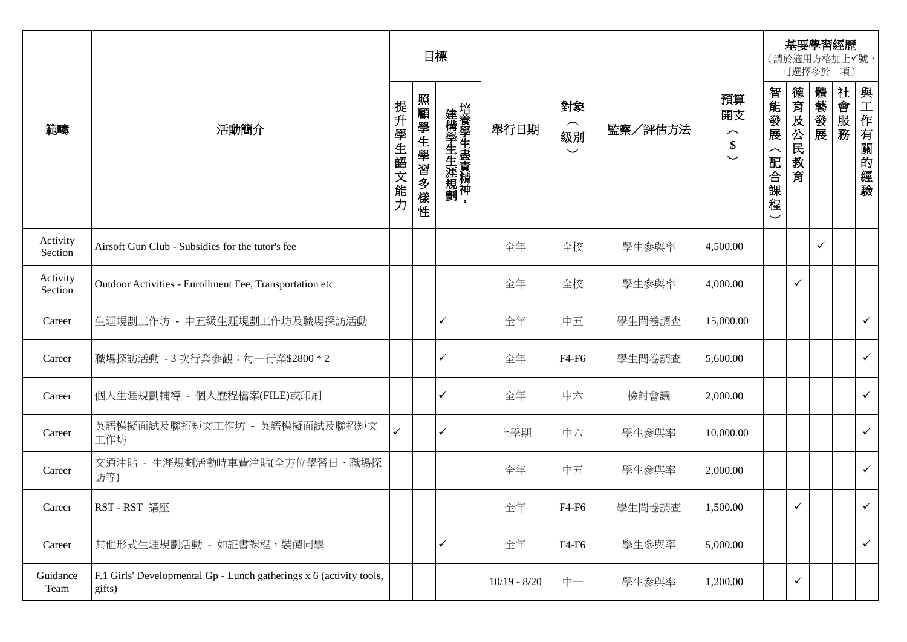|                     |                                                                               |          |           | 目標                |                |                                  |         |                                                                               |                                   |              | 基要學習經歷<br>(請於適用方格加上✔號,<br>可選擇多於一項) |      |              |
|---------------------|-------------------------------------------------------------------------------|----------|-----------|-------------------|----------------|----------------------------------|---------|-------------------------------------------------------------------------------|-----------------------------------|--------------|------------------------------------|------|--------------|
| 範疇                  | 活動簡介                                                                          | 提升學生語文能力 | 照顧學生學習多樣性 | 建構學生生涯規劃培養學生盡責精神, | 舉行日期           | 對象<br>$\frown$<br>級別<br>$\smile$ | 監察/評估方法 | 預算<br>開支<br>$\widehat{\phantom{m}}$<br>$\pmb{\$}$<br>$\overline{\phantom{0}}$ | 智能發展<br>(配合課<br>崔<br>$\checkmark$ | 德育及公民教<br>育  | 體藝發展                               | 社會服務 | 與工作有關的經驗     |
| Activity<br>Section | Airsoft Gun Club - Subsidies for the tutor's fee                              |          |           |                   | 全年             | 全校                               | 學生參與率   | 4,500.00                                                                      |                                   |              | ✓                                  |      |              |
| Activity<br>Section | Outdoor Activities - Enrollment Fee, Transportation etc                       |          |           |                   | 全年             | 全校                               | 學生參與率   | 4,000.00                                                                      |                                   | $\checkmark$ |                                    |      |              |
| Career              | 生涯規劃工作坊 - 中五級生涯規劃工作坊及職場探訪活動                                                   |          |           | $\checkmark$      | 全年             | 中五                               | 學生問卷調查  | 15,000.00                                                                     |                                   |              |                                    |      | $\checkmark$ |
| Career              | 職場探訪活動 - 3 次行業參觀:每一行業\$2800 * 2                                               |          |           | $\checkmark$      | 全年             | F4-F6                            | 學生問卷調查  | 5,600.00                                                                      |                                   |              |                                    |      | $\checkmark$ |
| Career              | 個人生涯規劃輔導 - 個人歷程檔案(FILE)或印刷                                                    |          |           | $\checkmark$      | 全年             | 中六                               | 檢討會議    | 2,000.00                                                                      |                                   |              |                                    |      | $\checkmark$ |
| Career              | 英語模擬面試及聯招短文工作坊 - 英語模擬面試及聯招短文<br>工作坊                                           | ✓        |           | $\checkmark$      | 上學期            | 中六                               | 學生參與率   | 10,000.00                                                                     |                                   |              |                                    |      | $\checkmark$ |
| Career              | 交通津貼 - 生涯規劃活動時車費津貼(全方位學習日、職場探<br>訪等)                                          |          |           |                   | 全年             | 中五                               | 學生參與率   | 2,000.00                                                                      |                                   |              |                                    |      | $\checkmark$ |
| Career              | RST-RST 講座                                                                    |          |           |                   | 全年             | F4-F6                            | 學生問卷調查  | 1,500.00                                                                      |                                   | $\checkmark$ |                                    |      | $\checkmark$ |
| Career              | 其他形式生涯規劃活動 - 如証書課程,裝備同學                                                       |          |           | $\checkmark$      | 全年             | F4-F6                            | 學生參與率   | 5,000.00                                                                      |                                   |              |                                    |      | $\checkmark$ |
| Guidance<br>Team    | F.1 Girls' Developmental Gp - Lunch gatherings x 6 (activity tools,<br>gifts) |          |           |                   | $10/19 - 8/20$ | 中一                               | 學生參與率   | 1,200.00                                                                      |                                   | $\checkmark$ |                                    |      |              |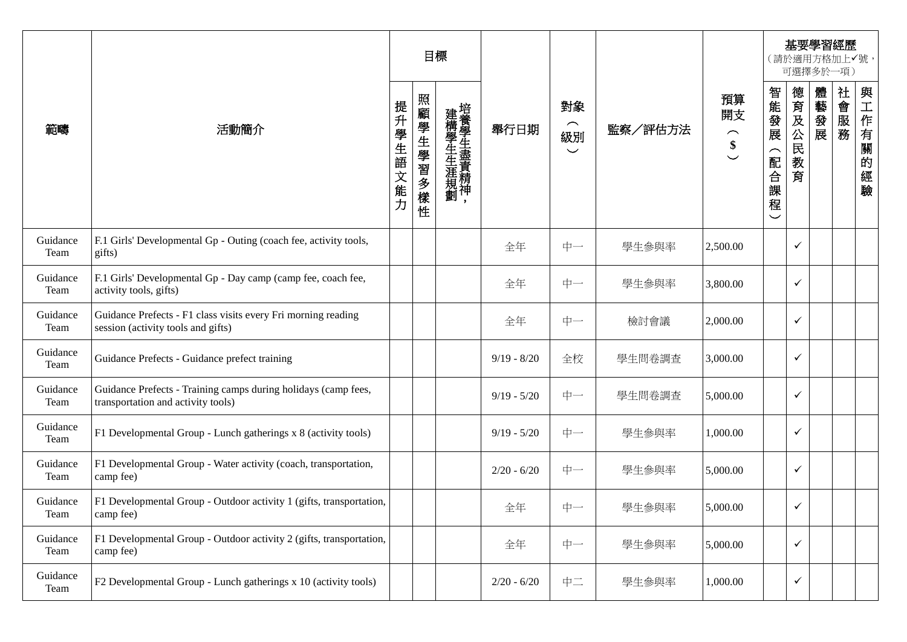|                  |                                                                                                      |          |           | 目標                |               |                                                 |         |                                                                               |                                                                 |                 | 可選擇多於一項) | 基要學習經歷<br>(請於適用方格加上✔號, |                          |
|------------------|------------------------------------------------------------------------------------------------------|----------|-----------|-------------------|---------------|-------------------------------------------------|---------|-------------------------------------------------------------------------------|-----------------------------------------------------------------|-----------------|----------|------------------------|--------------------------|
| 範疇               | 活動簡介                                                                                                 | 提升學生語文能力 | 照顧學生學習多樣性 | 建構學生生涯規劃培養學生盡責精神, | 舉行日期          | 對象<br>$\widehat{\phantom{1}}$<br>級別<br>$\smile$ | 監察/評估方法 | 預算<br>開支<br>$\widehat{\phantom{m}}$<br>$\pmb{\$}$<br>$\overline{\phantom{0}}$ | 智能發展<br>$\widehat{\phantom{1}}$<br>配合<br>課<br>程<br>$\checkmark$ | 德育及公民<br>教<br>育 | 體藝發展     | 社<br>會服務               | 與<br>工作有關<br>的<br>經<br>驗 |
| Guidance<br>Team | F.1 Girls' Developmental Gp - Outing (coach fee, activity tools,<br>gifts)                           |          |           |                   | 全年            | 中一                                              | 學生參與率   | 2,500.00                                                                      |                                                                 | $\checkmark$    |          |                        |                          |
| Guidance<br>Team | F.1 Girls' Developmental Gp - Day camp (camp fee, coach fee,<br>activity tools, gifts)               |          |           |                   | 全年            | 中一                                              | 學生參與率   | 3,800.00                                                                      |                                                                 | $\checkmark$    |          |                        |                          |
| Guidance<br>Team | Guidance Prefects - F1 class visits every Fri morning reading<br>session (activity tools and gifts)  |          |           |                   | 全年            | 中一                                              | 檢討會議    | 2,000.00                                                                      |                                                                 | $\checkmark$    |          |                        |                          |
| Guidance<br>Team | Guidance Prefects - Guidance prefect training                                                        |          |           |                   | $9/19 - 8/20$ | 全校                                              | 學生問卷調查  | 3,000.00                                                                      |                                                                 | $\checkmark$    |          |                        |                          |
| Guidance<br>Team | Guidance Prefects - Training camps during holidays (camp fees,<br>transportation and activity tools) |          |           |                   | $9/19 - 5/20$ | 中一                                              | 學生問卷調查  | 5,000.00                                                                      |                                                                 | $\checkmark$    |          |                        |                          |
| Guidance<br>Team | F1 Developmental Group - Lunch gatherings x 8 (activity tools)                                       |          |           |                   | $9/19 - 5/20$ | 中一                                              | 學生參與率   | 1,000.00                                                                      |                                                                 | ✓               |          |                        |                          |
| Guidance<br>Team | F1 Developmental Group - Water activity (coach, transportation,<br>camp fee)                         |          |           |                   | $2/20 - 6/20$ | 中一                                              | 學生參與率   | 5,000.00                                                                      |                                                                 | ✓               |          |                        |                          |
| Guidance<br>Team | F1 Developmental Group - Outdoor activity 1 (gifts, transportation,<br>camp ree)                     |          |           |                   | 全年            | 中一                                              | 學生參與率   | 5,000.00                                                                      |                                                                 | $\checkmark$    |          |                        |                          |
| Guidance<br>Team | F1 Developmental Group - Outdoor activity 2 (gifts, transportation,<br>camp fee)                     |          |           |                   | 全年            | 中一                                              | 學生參與率   | 5,000.00                                                                      |                                                                 | $\checkmark$    |          |                        |                          |
| Guidance<br>Team | F2 Developmental Group - Lunch gatherings x 10 (activity tools)                                      |          |           |                   | $2/20 - 6/20$ | 中二                                              | 學生參與率   | 1,000.00                                                                      |                                                                 | $\checkmark$    |          |                        |                          |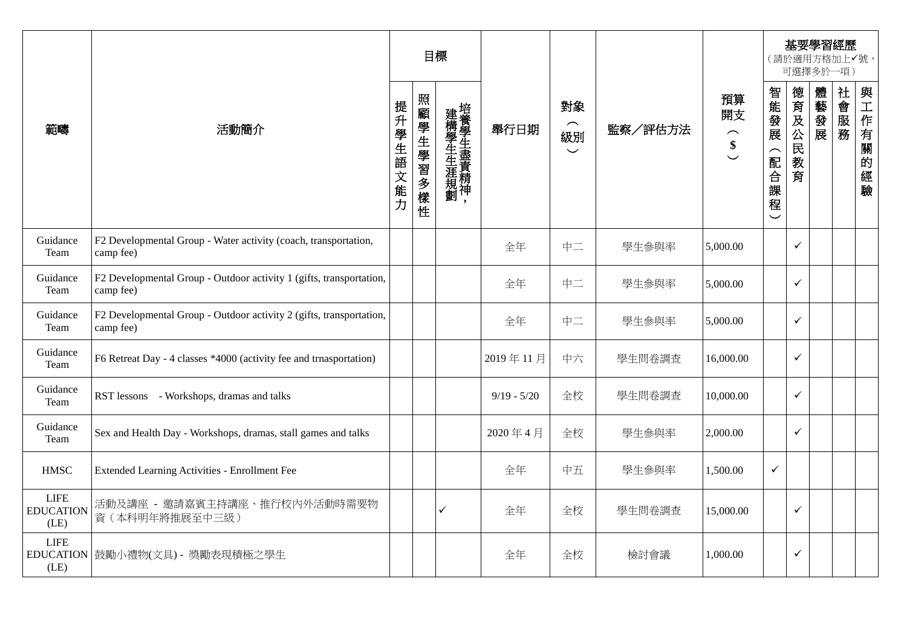|                                         |                                                                                  |          |           | 目標                |               |                                                  |         |                          |                   |                 | 可選擇多於一項) | 基要學習經歷<br>(請於適用方格加上√號, |          |
|-----------------------------------------|----------------------------------------------------------------------------------|----------|-----------|-------------------|---------------|--------------------------------------------------|---------|--------------------------|-------------------|-----------------|----------|------------------------|----------|
| 範疇                                      | 活動簡介                                                                             | 提升學生語文能力 | 照顧學生學習多樣性 | 建構學生生涯規劃培養學生盡責精神, | 舉行日期          | 對象<br>$\overline{\phantom{1}}$<br>級別<br>$\smile$ | 監察/評估方法 | 預算<br>開支<br>$\hat{\ast}$ | 智能發展<br>(配合課<br>程 | 德育及公民<br>教<br>育 | 體藝發展     | 社會服務                   | 與工作有關的經驗 |
| Guidance<br>Team                        | F2 Developmental Group - Water activity (coach, transportation,<br>camp fee)     |          |           |                   | 全年            | 中二                                               | 學生參與率   | 5,000.00                 |                   | $\checkmark$    |          |                        |          |
| Guidance<br>Team                        | F2 Developmental Group - Outdoor activity 1 (gifts, transportation,<br>camp fee) |          |           |                   | 全年            | 中二                                               | 學生參與率   | 5,000.00                 |                   | $\checkmark$    |          |                        |          |
| Guidance<br>Team                        | F2 Developmental Group - Outdoor activity 2 (gifts, transportation,<br>camp fee) |          |           |                   | 全年            | 中二                                               | 學生參與率   | 5,000.00                 |                   | $\checkmark$    |          |                        |          |
| Guidance<br>Team                        | F6 Retreat Day - 4 classes *4000 (activity fee and trnasportation)               |          |           |                   | 2019年11月      | 中六                                               | 學生問卷調查  | 16,000.00                |                   | $\checkmark$    |          |                        |          |
| Guidance<br>Team                        | RST lessons - Workshops, dramas and talks                                        |          |           |                   | $9/19 - 5/20$ | 全校                                               | 學生問卷調查  | 10,000.00                |                   | $\checkmark$    |          |                        |          |
| Guidance<br>Team                        | Sex and Health Day - Workshops, dramas, stall games and talks                    |          |           |                   | 2020年4月       | 全校                                               | 學生參與率   | 2,000.00                 |                   | $\checkmark$    |          |                        |          |
| <b>HMSC</b>                             | Extended Learning Activities - Enrollment Fee                                    |          |           |                   | 全年            | 中五                                               | 學生參與率   | 1,500.00                 | $\checkmark$      |                 |          |                        |          |
| <b>LIFE</b><br><b>EDUCATION</b><br>(LE) | 活動及講座 - 邀請嘉賓主持講座、推行校內外活動時需要物<br>資(本科明年將推展至中三級)                                   |          |           | ✓                 | 全年            | 全校                                               | 學生問卷調查  | 15,000.00                |                   | $\checkmark$    |          |                        |          |
| <b>LIFE</b><br>(LE)                     | EDUCATION 鼓勵小禮物(文具) - 獎勵表現積極之學生                                                  |          |           |                   | 全年            | 全校                                               | 檢討會議    | 1,000.00                 |                   | $\checkmark$    |          |                        |          |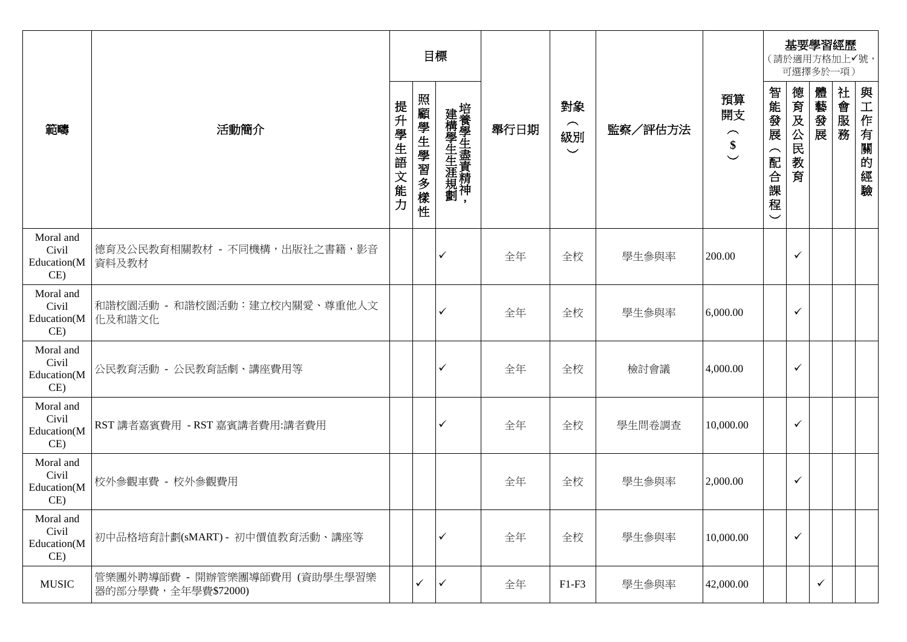|                                          |                                                      |          |           | 目標                                            |      |                                                 |         |                                                           |                                                              | 可選擇多於一項)     |              | 基要學習經歷<br>(請於適用方格加上√號, |          |
|------------------------------------------|------------------------------------------------------|----------|-----------|-----------------------------------------------|------|-------------------------------------------------|---------|-----------------------------------------------------------|--------------------------------------------------------------|--------------|--------------|------------------------|----------|
| 範疇                                       | 活動簡介                                                 | 提升學生語文能力 | 照顧學生學習多樣性 | 建構學生生涯規劃培養學生盡責精神、<br>$\overline{\phantom{a}}$ | 舉行日期 | 對象<br>$\widehat{\phantom{1}}$<br>級別<br>$\smile$ | 監察/評估方法 | 預算<br>開支<br>$\widehat{\phantom{m}}$<br>\$<br>$\checkmark$ | 智能發展<br>$\overline{\phantom{1}}$<br>配合課<br>程<br>$\checkmark$ | 德育及公民教育      | 體藝發展         | 社會服務                   | 與工作有關的經驗 |
| Moral and<br>Civil<br>Education(M<br>CE) | 德育及公民教育相關教材 - 不同機構,出版社之書籍,影音<br>資料及教材                |          |           | ✓                                             | 全年   | 全校                                              | 學生參與率   | 200.00                                                    |                                                              | ✓            |              |                        |          |
| Moral and<br>Civil<br>Education(M<br>CE) | 和諧校園活動 - 和諧校園活動:建立校内關愛、尊重他人文<br>化及和諧文化               |          |           | ✓                                             | 全年   | 全校                                              | 學生參與率   | 6,000.00                                                  |                                                              | ✓            |              |                        |          |
| Moral and<br>Civil<br>Education(M<br>CE) | 公民教育活動 - 公民教育話劇、講座費用等                                |          |           | ✓                                             | 全年   | 全校                                              | 檢討會議    | 4,000.00                                                  |                                                              | ✓            |              |                        |          |
| Moral and<br>Civil<br>Education(M<br>CE) | RST 講者嘉賓費用 - RST 嘉賓講者費用:講者費用                         |          |           | ✓                                             | 全年   | 全校                                              | 學生問卷調查  | 10,000.00                                                 |                                                              | ✓            |              |                        |          |
| Moral and<br>Civil<br>Education(M<br>CE) | 校外參觀車費 - 校外參觀費用                                      |          |           |                                               | 全年   | 全校                                              | 學生參與率   | 2,000.00                                                  |                                                              | ✓            |              |                        |          |
| Moral and<br>Civil<br>Education(M<br>CE) | 初中品格培育計劃(sMART) - 初中價值教育活動、講座等                       |          |           | ✓                                             | 全年   | 全校                                              | 學生參與率   | 10,000.00                                                 |                                                              | $\checkmark$ |              |                        |          |
| <b>MUSIC</b>                             | 管樂團外聘導師費 - 開辦管樂團導師費用 (資助學生學習樂<br>器的部分學費,全年學費\$72000) |          | ✓         | $\checkmark$                                  | 全年   | $F1-F3$                                         | 學生參與率   | 42,000.00                                                 |                                                              |              | $\checkmark$ |                        |          |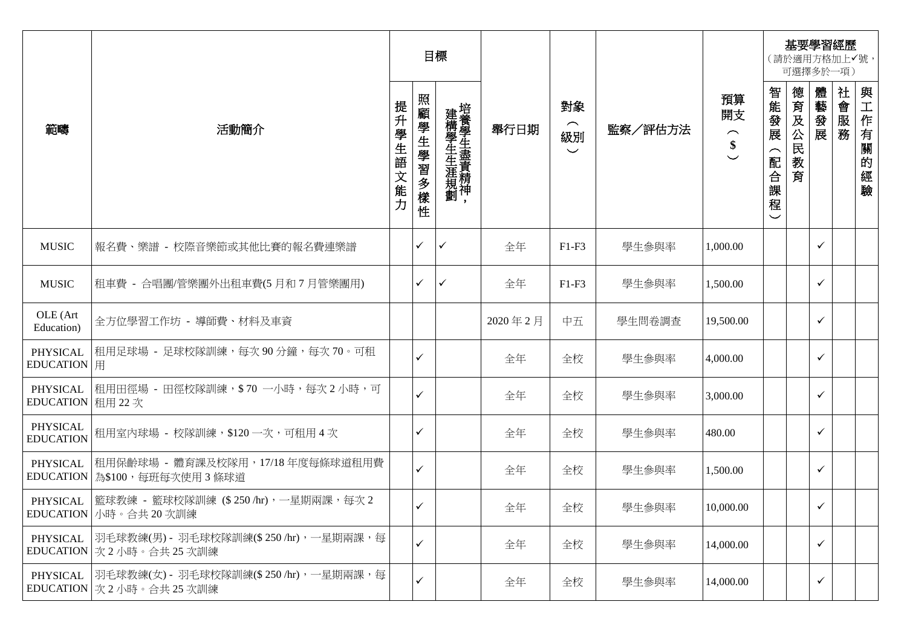|                                     |                                                                             |                      |           | 目標                |         |                                                 |         |                                                                       |                                  |                 | 基要學習經歷<br>(請於適用方格加上√號,<br>可選擇多於一項) |      |              |
|-------------------------------------|-----------------------------------------------------------------------------|----------------------|-----------|-------------------|---------|-------------------------------------------------|---------|-----------------------------------------------------------------------|----------------------------------|-----------------|------------------------------------|------|--------------|
| 範疇                                  | 活動簡介                                                                        | 提<br>升<br>學生語<br>文能力 | 照顧學生學習多樣性 | 建構學生生涯規劃培養學生盡責精神, | 舉行日期    | 對象<br>$\widehat{\phantom{m}}$<br>級別<br>$\smile$ | 監察/評估方法 | 預算<br>開支<br>$\widehat{\phantom{m}}$<br>\$<br>$\overline{\phantom{0}}$ | 智能發展<br>$\frown$<br>配合<br>課<br>程 | 德育及公民<br>教<br>育 | 體藝發展                               | 社會服務 | 與工作有關的經<br>驗 |
| <b>MUSIC</b>                        | 報名費、樂譜 - 校際音樂節或其他比賽的報名費連樂譜                                                  |                      | ✓         | ✓                 | 全年      | $F1-F3$                                         | 學生參與率   | 1,000.00                                                              |                                  |                 | ✓                                  |      |              |
| <b>MUSIC</b>                        | 租車費 - 合唱團/管樂團外出租車費(5月和7月管樂團用)                                               |                      | ✓         | ✓                 | 全年      | $F1-F3$                                         | 學生參與率   | 1,500.00                                                              |                                  |                 | $\checkmark$                       |      |              |
| OLE (Art<br>Education)              | 全方位學習工作坊 - 導師費、材料及車資                                                        |                      |           |                   | 2020年2月 | 中五                                              | 學生問卷調查  | 19,500.00                                                             |                                  |                 | $\checkmark$                       |      |              |
| PHYSICAL<br>EDUCATION   用           | 租用足球場 - 足球校隊訓練,每次 90 分鐘,每次 70。可租                                            |                      | ✓         |                   | 全年      | 全校                                              | 學生參與率   | 4,000.00                                                              |                                  |                 | $\checkmark$                       |      |              |
| EDUCATION 租用 22 次                   | PHYSICAL 祖用田徑場 - 田徑校隊訓練,\$70 一小時,每次 2 小時,可                                  |                      | ✓         |                   | 全年      | 全校                                              | 學生參與率   | 3,000.00                                                              |                                  |                 | $\checkmark$                       |      |              |
| <b>PHYSICAL</b><br><b>EDUCATION</b> | 租用室内球場 - 校隊訓練,\$120一次,可租用4次                                                 |                      | ✓         |                   | 全年      | 全校                                              | 學生參與率   | 480.00                                                                |                                  |                 | $\checkmark$                       |      |              |
| PHYSICAL                            | 租用保齡球場 - 體育課及校隊用,17/18 年度每條球道租用費 <br>EDUCATION   為\$100, 每班每次使用3條球道         |                      | ✓         |                   | 全年      | 全校                                              | 學生參與率   | 1,500.00                                                              |                                  |                 | $\checkmark$                       |      |              |
|                                     | PHYSICAL  籃球教練 - 籃球校隊訓練 (\$250/hr), 一星期兩課, 每次 2<br>EDUCATION 小時。合共20次訓練     |                      | ✓         |                   | 全年      | 全校                                              | 學生參與率   | 10,000.00                                                             |                                  |                 | $\checkmark$                       |      |              |
|                                     | PHYSICAL  羽毛球教練(男) - 羽毛球校隊訓練(\$ 250 /hr),一星期兩課,每<br>EDUCATION  次2小時。合共25次訓練 |                      | ✓         |                   | 全年      | 全校                                              | 學生參與率   | 14,000.00                                                             |                                  |                 | $\checkmark$                       |      |              |
|                                     | PHYSICAL  羽毛球教練(女) - 羽毛球校隊訓練(\$ 250 /hr),一星期兩課,每<br>EDUCATION 次2小時。合共25次訓練  |                      | ✓         |                   | 全年      | 全校                                              | 學生參與率   | 14,000.00                                                             |                                  |                 | ✓                                  |      |              |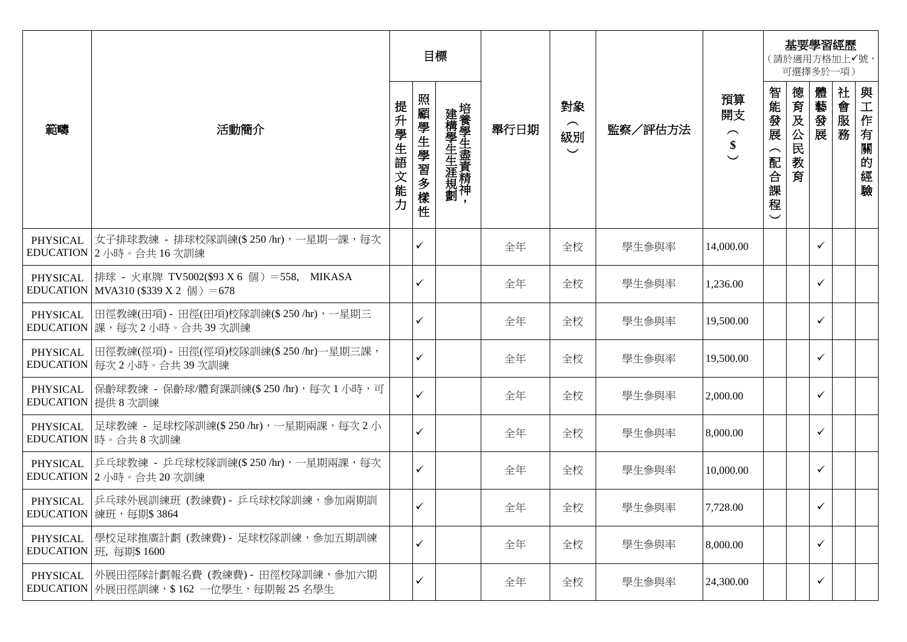|                 |                                                                                    |                      | 目標           |                   |      |                                                 |         |                                                           |                          |                 | 可選擇多於一項)     | 基要學習經歷<br>(請於適用方格加上√號, |                      |
|-----------------|------------------------------------------------------------------------------------|----------------------|--------------|-------------------|------|-------------------------------------------------|---------|-----------------------------------------------------------|--------------------------|-----------------|--------------|------------------------|----------------------|
| 範疇              | 活動簡介                                                                               | 提升<br>學生語<br>文<br>能力 | 照顧學生學習多樣性    | 建構學生生涯規劃培養學生盡責精神, | 舉行日期 | 對象<br>$\widehat{\phantom{m}}$<br>級別<br>$\smile$ | 監察/評估方法 | 預算<br>開支<br>$\widehat{\phantom{m}}$<br>\$<br>$\checkmark$ | 智能發展<br>配<br>合<br>課<br>程 | 德育及公民<br>教<br>育 | 體<br>一藝發展    | 社會服務                   | 與工作有關<br>的<br>經<br>驗 |
| PHYSICAL        | 女子排球教練 - 排球校隊訓練(\$ 250 /hr),一星期一課,每次 <br>EDUCATION 2 小時。合共 16 次訓練                  |                      | $\checkmark$ |                   | 全年   | 全校                                              | 學生參與率   | 14,000.00                                                 |                          |                 | $\checkmark$ |                        |                      |
| PHYSICAL        | 排球 - 火車牌 TV5002(\$93 X 6 個) =558, MIKASA<br>EDUCATION   MVA310 (\$339 X 2 個) = 678 |                      | $\checkmark$ |                   | 全年   | 全校                                              | 學生參與率   | 1,236.00                                                  |                          |                 | $\checkmark$ |                        |                      |
| <b>PHYSICAL</b> | 旧徑教練(田項) - 田徑(田項)校隊訓練(\$250 /hr),一星期三<br>EDUCATION 課,每次2小時。合共39次訓練                 |                      | $\checkmark$ |                   | 全年   | 全校                                              | 學生參與率   | 19,500.00                                                 |                          |                 | $\checkmark$ |                        |                      |
| PHYSICAL        | 田徑教練(徑項) - 田徑(徑項)校隊訓練(\$ 250 /hr)一星期三課,<br>EDUCATION 每次 2 小時。合共 39 次訓練             |                      | $\checkmark$ |                   | 全年   | 全校                                              | 學生參與率   | 19,500.00                                                 |                          |                 | $\checkmark$ |                        |                      |
| PHYSICAL        | 保齡球教練 - 保齡球/體育課訓練(\$ 250 /hr),每次 1 小時,可<br>EDUCATION 提供 8 次訓練                      |                      | $\checkmark$ |                   | 全年   | 全校                                              | 學生參與率   | 2,000.00                                                  |                          |                 | $\checkmark$ |                        |                      |
|                 | PHYSICAL  足球教練 - 足球校隊訓練(\$ 250 /hr),一星期兩課,每次 2 小<br>EDUCATION 時。合共8次訓練             |                      | $\checkmark$ |                   | 全年   | 全校                                              | 學生參與率   | 8,000.00                                                  |                          |                 | $\checkmark$ |                        |                      |
| PHYSICAL        | 乒乓球教練 - 乒乓球校隊訓練(\$ 250 /hr),一星期兩課,每次<br>EDUCATION 2 小時。合共 20 次訓練                   |                      | $\checkmark$ |                   | 全年   | 全校                                              | 學生參與率   | 10,000.00                                                 |                          |                 | $\checkmark$ |                        |                      |
|                 | PHYSICAL   乒乓球外展訓練班 (教練費) - 乒乓球校隊訓練, 参加兩期訓<br>EDUCATION   練班, 每期\$3864             |                      | $\checkmark$ |                   | 全年   | 全校                                              | 學生參與率   | 7,728.00                                                  |                          |                 | $\checkmark$ |                        |                      |
| PHYSICAL        | 學校足球推廣計劃 (教練費) - 足球校隊訓練,參加五期訓練<br>EDUCATION   班, 每期\$ 1600                         |                      | $\checkmark$ |                   | 全年   | 全校                                              | 學生參與率   | 8,000.00                                                  |                          |                 | $\checkmark$ |                        |                      |
| PHYSICAL        | 外展田徑隊計劃報名費 (教練費)- 田徑校隊訓練,參加六期<br>EDUCATION   外展田徑訓練, \$162 一位學生, 每期報 25 名學生        |                      | $\checkmark$ |                   | 全年   | 全校                                              | 學生參與率   | 24,300.00                                                 |                          |                 | $\checkmark$ |                        |                      |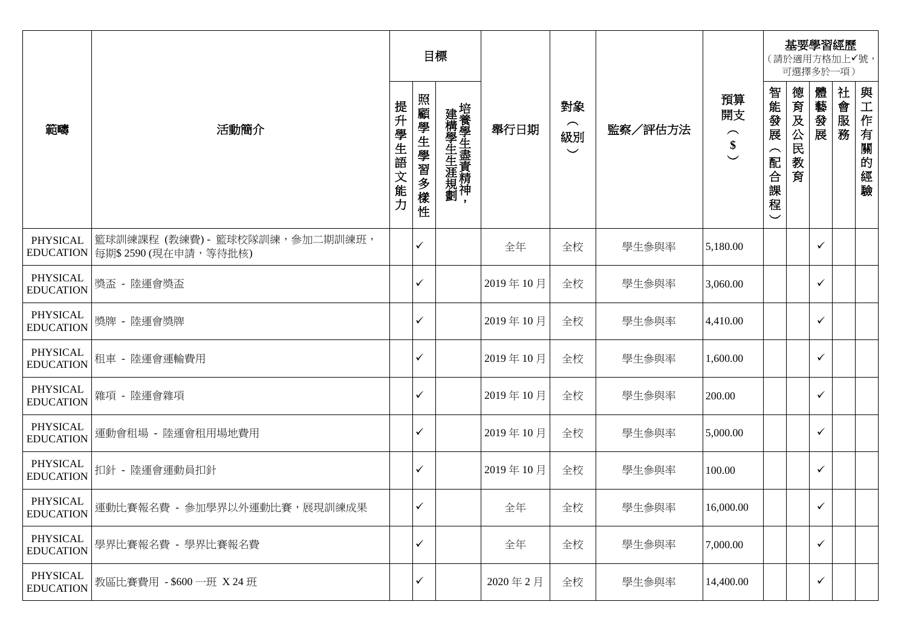|                              |                                                          |          | 目標           |                   |          |                                                 |         |                                                       |                                                                |         |              | 基要學習經歷<br>(請於適用方格加上√號,<br>可選擇多於一項) |                  |
|------------------------------|----------------------------------------------------------|----------|--------------|-------------------|----------|-------------------------------------------------|---------|-------------------------------------------------------|----------------------------------------------------------------|---------|--------------|------------------------------------|------------------|
| 範疇                           | 活動簡介                                                     | 提升學生語文能力 | 照顧學生學習多樣性    | 建構學生生涯規劃培養學生盡責精神, | 舉行日期     | 對象<br>$\widehat{\phantom{m}}$<br>級別<br>$\smile$ | 監察/評估方法 | 預算<br>開支<br>$\widehat{\phantom{m}}$<br>\$<br>$\smile$ | 智能發展<br>$\widehat{\phantom{1}}$<br>配合<br>課<br>程<br>$\check{ }$ | 德育及公民教育 | 體藝發展         | 社會服務                               | 與工作有關<br>的<br>經驗 |
| PHYSICAL<br><b>EDUCATION</b> | 籃球訓練課程 (教練費) - 籃球校隊訓練, 參加二期訓練班,<br>每期\$2590 (現在申請, 等待批核) |          | ✓            |                   | 全年       | 全校                                              | 學生參與率   | 5,180.00                                              |                                                                |         | ✓            |                                    |                  |
| PHYSICAL<br><b>EDUCATION</b> | 獎盃 - 陸運會獎盃                                               |          | ✓            |                   | 2019年10月 | 全校                                              | 學生參與率   | 3,060.00                                              |                                                                |         | ✓            |                                    |                  |
| PHYSICAL<br><b>EDUCATION</b> | 獎牌 - 陸運會獎牌                                               |          | ✓            |                   | 2019年10月 | 全校                                              | 學生參與率   | 4,410.00                                              |                                                                |         | ✓            |                                    |                  |
| PHYSICAL<br><b>EDUCATION</b> | 租車 - 陸運會運輸費用                                             |          | ✓            |                   | 2019年10月 | 全校                                              | 學生參與率   | 1,600.00                                              |                                                                |         | $\checkmark$ |                                    |                  |
| PHYSICAL<br><b>EDUCATION</b> | 雜項 - 陸運會雜項                                               |          | ✓            |                   | 2019年10月 | 全校                                              | 學生參與率   | 200.00                                                |                                                                |         | ✓            |                                    |                  |
| PHYSICAL<br><b>EDUCATION</b> | 運動會租場 - 陸運會租用場地費用                                        |          | ✓            |                   | 2019年10月 | 全校                                              | 學生參與率   | 5,000.00                                              |                                                                |         | ✓            |                                    |                  |
| PHYSICAL<br><b>EDUCATION</b> | 扣針 - 陸運會運動員扣針                                            |          | $\checkmark$ |                   | 2019年10月 | 全校                                              | 學生參與率   | 100.00                                                |                                                                |         | $\checkmark$ |                                    |                  |
|                              | rn1MCAL<br>EDUCATION   運動比賽報名費 - 參加學界以外運動比賽,展現訓練成果       |          | $\checkmark$ |                   | 全年       | 全校                                              | 學生參與率   | 16,000.00                                             |                                                                |         | ✓            |                                    |                  |
| PHYSICAL<br><b>EDUCATION</b> | 學界比賽報名費 - 學界比賽報名費                                        |          | ✓            |                   | 全年       | 全校                                              | 學生參與率   | 7,000.00                                              |                                                                |         | ✓            |                                    |                  |
| PHYSICAL<br><b>EDUCATION</b> | 教區比賽費用 - \$600 一班 X 24 班                                 |          | ✓            |                   | 2020年2月  | 全校                                              | 學生參與率   | 14,400.00                                             |                                                                |         | ✓            |                                    |                  |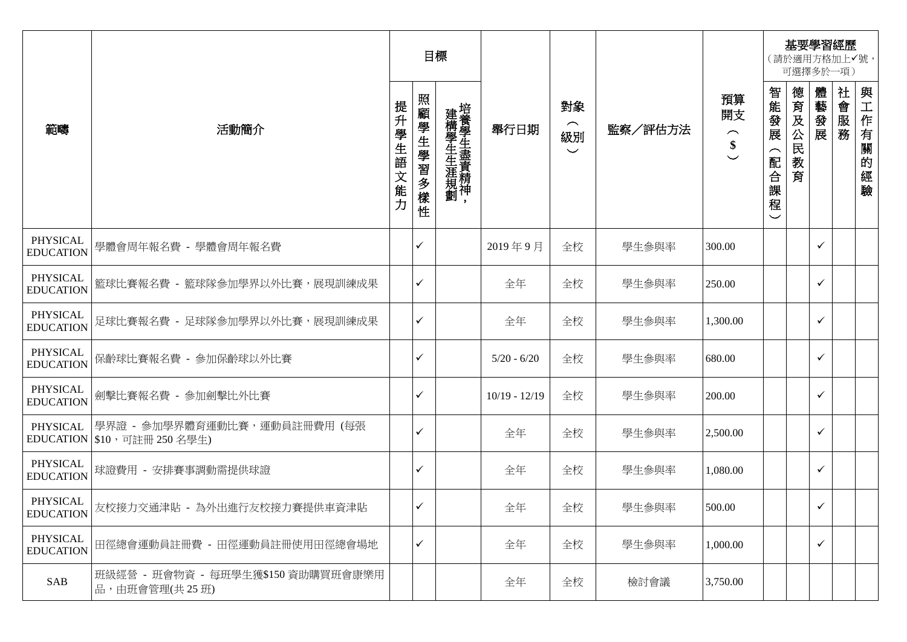|                              |                                                                |               | 目標            |                   |                 |                                                     |         |                                           | 基要學習經歷<br>(請於適用方格加上√號,<br>可選擇多於一項)                          |                 |              |      |                  |
|------------------------------|----------------------------------------------------------------|---------------|---------------|-------------------|-----------------|-----------------------------------------------------|---------|-------------------------------------------|-------------------------------------------------------------|-----------------|--------------|------|------------------|
| 範疇                           | 活動簡介                                                           | 提升學生語<br> 文能力 | 照<br>顧學生學習多樣性 | 建構學生生涯規劃培養學生盡責精神, | 舉行日期            | 對象<br>$\widehat{\phantom{m}}$<br>級別<br>$\checkmark$ | 監察/評估方法 | 預算<br>開支<br>$\widehat{\phantom{m}}$<br>\$ | 智能發展<br>$\widehat{\phantom{1}}$<br>配合課<br>程<br>$\checkmark$ | 德育及公民<br>教<br>育 | 體藝發展         | 社會服務 | 與工作有關<br>的<br>經驗 |
| PHYSICAL<br><b>EDUCATION</b> | 學體會周年報名費 - 學體會周年報名費                                            |               | ✓             |                   | 2019年9月         | 全校                                                  | 學生參與率   | 300.00                                    |                                                             |                 | $\checkmark$ |      |                  |
| PHYSICAL<br><b>EDUCATION</b> | 籃球比賽報名費 - 籃球隊參加學界以外比賽,展現訓練成果                                   |               | ✓             |                   | 全年              | 全校                                                  | 學生參與率   | 250.00                                    |                                                             |                 | $\checkmark$ |      |                  |
| PHYSICAL<br><b>EDUCATION</b> | 足球比賽報名費 - 足球隊參加學界以外比賽,展現訓練成果                                   |               | ✓             |                   | 全年              | 全校                                                  | 學生參與率   | 1,300.00                                  |                                                             |                 | $\checkmark$ |      |                  |
| PHYSICAL<br><b>EDUCATION</b> | 保齡球比賽報名費 - 參加保齡球以外比賽                                           |               | ✓             |                   | $5/20 - 6/20$   | 全校                                                  | 學生參與率   | 680.00                                    |                                                             |                 | ✓            |      |                  |
| PHYSICAL<br><b>EDUCATION</b> | 劍擊比賽報名費 - 參加劍擊比外比賽                                             |               | ✓             |                   | $10/19 - 12/19$ | 全校                                                  | 學生參與率   | 200.00                                    |                                                             |                 | $\checkmark$ |      |                  |
| PHYSICAL                     | 學界證 - 參加學界體育運動比賽,運動員註冊費用 (每張<br>EDUCATION   \$10, 可註冊 250 名學生) |               | ✓             |                   | 全年              | 全校                                                  | 學生參與率   | 2,500.00                                  |                                                             |                 | ✓            |      |                  |
| PHYSICAL<br><b>EDUCATION</b> | 球證費用 - 安排賽事調動需提供球證                                             |               | ✓             |                   | 全年              | 全校                                                  | 學生參與率   | 1,080.00                                  |                                                             |                 | $\checkmark$ |      |                  |
|                              | PHYSICAL<br>EDUCATION 友校接力交通津貼 - 為外出進行友校接力賽提供車資津貼              |               | ✓             |                   | 全年              | 全校                                                  | 學生參與率   | 500.00                                    |                                                             |                 | $\checkmark$ |      |                  |
| PHYSICAL<br><b>EDUCATION</b> | 田徑總會運動員註冊費 - 田徑運動員註冊使用田徑總會場地                                   |               | ✓             |                   | 全年              | 全校                                                  | 學生參與率   | 1,000.00                                  |                                                             |                 | $\checkmark$ |      |                  |
| SAB                          | 班級經營 - 班會物資 - 每班學生獲\$150 資助購買班會康樂用 <br>品,由班會管理(共25班)           |               |               |                   | 全年              | 全校                                                  | 檢討會議    | 3,750.00                                  |                                                             |                 |              |      |                  |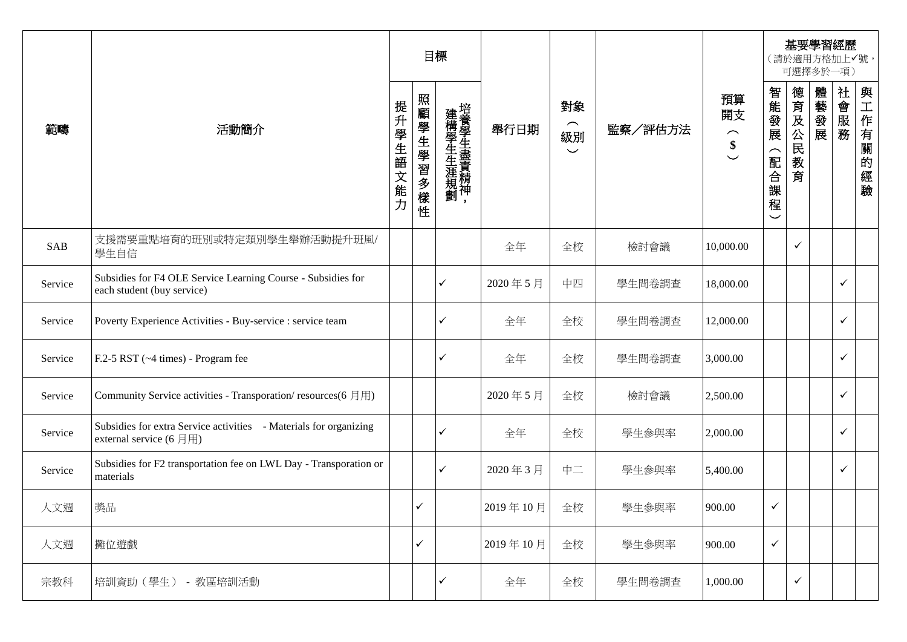|         |                                                                                                                          | 目標            |           |                   |          |                                      |         | 基要學習經歷<br>(請於適用方格加上√號,<br>可選擇多於一項)                               |                                   |                 |      |              |              |
|---------|--------------------------------------------------------------------------------------------------------------------------|---------------|-----------|-------------------|----------|--------------------------------------|---------|------------------------------------------------------------------|-----------------------------------|-----------------|------|--------------|--------------|
| 範疇      | 活動簡介                                                                                                                     | 提升學生語<br>1文能力 | 照顧學生學習多樣性 | 建構學生生涯規劃培養學生盡責精神, | 舉行日期     | 對象<br>$\frown$<br>級別<br>$\checkmark$ | 監察/評估方法 | 預算<br>開支<br>$\frown$<br>$\boldsymbol{\$}$<br>$\overline{\smile}$ | 智能發展<br>(配合課<br>程<br>$\checkmark$ | 德育及公民<br>教<br>育 | 體藝發展 | 社會服務         | 與工作有關的<br>經驗 |
| SAB     | 支援需要重點培育的班別或特定類別學生舉辦活動提升班風/<br>學生自信                                                                                      |               |           |                   | 全年       | 全校                                   | 檢討會議    | 10,000.00                                                        |                                   | $\checkmark$    |      |              |              |
| Service | Subsidies for F4 OLE Service Learning Course - Subsidies for<br>each student (buy service)                               |               |           | ✓                 | 2020年5月  | 中四                                   | 學生問卷調查  | 18,000.00                                                        |                                   |                 |      | ✓            |              |
| Service | Poverty Experience Activities - Buy-service : service team                                                               |               |           | ✓                 | 全年       | 全校                                   | 學生問卷調查  | 12,000.00                                                        |                                   |                 |      | $\checkmark$ |              |
| Service | F.2-5 RST (~4 times) - Program fee                                                                                       |               |           | ✓                 | 全年       | 全校                                   | 學生問卷調查  | 3,000.00                                                         |                                   |                 |      | $\checkmark$ |              |
| Service | Community Service activities - Transporation/resources(6月用)                                                              |               |           |                   | 2020年5月  | 全校                                   | 檢討會議    | 2,500.00                                                         |                                   |                 |      | $\checkmark$ |              |
| Service | Subsidies for extra Service activities - Materials for organizing<br>external service $(6 \text{ } \text{) \overline{}}$ |               |           | ✓                 | 全年       | 全校                                   | 學生參與率   | 2,000.00                                                         |                                   |                 |      | ✓            |              |
| Service | Subsidies for F2 transportation fee on LWL Day - Transporation or<br>materials                                           |               |           | ✓                 | 2020年3月  | 中二                                   | 學生參與率   | 5,400.00                                                         |                                   |                 |      | $\checkmark$ |              |
| 人文週     | 獎品                                                                                                                       |               | ✓         |                   | 2019年10月 | 全校                                   | 學生參與率   | 900.00                                                           | $\checkmark$                      |                 |      |              |              |
| 人文週     | 攤位遊戲                                                                                                                     |               | ✓         |                   | 2019年10月 | 全校                                   | 學生參與率   | 900.00                                                           | $\checkmark$                      |                 |      |              |              |
| 宗教科     | 培訓資助 (學生) - 教區培訓活動                                                                                                       |               |           | ✓                 | 全年       | 全校                                   | 學生問卷調查  | 1,000.00                                                         |                                   | $\checkmark$    |      |              |              |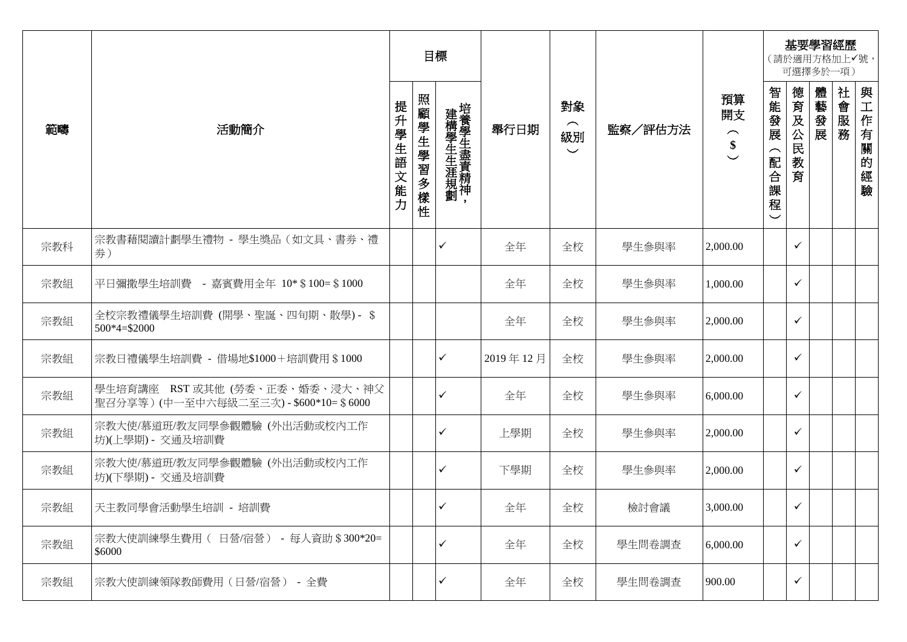|     |                                                                        | 目標       |           |                   |          |                                                 | 基要學習經歷<br>(請於適用方格加上√號,<br>可選擇多於一項) |                                          |                                   |              |      |      |                  |
|-----|------------------------------------------------------------------------|----------|-----------|-------------------|----------|-------------------------------------------------|------------------------------------|------------------------------------------|-----------------------------------|--------------|------|------|------------------|
| 範疇  | 活動簡介                                                                   | 提升學生語文能力 | 照顧學生學習多樣性 | 建構學生生涯規劃培養學生盡責精神, | 舉行日期     | 對象<br>$\widehat{\phantom{m}}$<br>級別<br>$\smile$ | 監察/評估方法                            | 預算<br>開支<br>$\frown$<br>\$<br>$\backsim$ | 智能發展<br>(配合課<br>程<br>$\checkmark$ | 德育及公民教育      | 體藝發展 | 社會服務 | 與工作有關<br>的<br>經驗 |
| 宗教科 | 宗教書藉閱讀計劃學生禮物 - 學生獎品(如文具、書券、禮<br>券)                                     |          |           | $\checkmark$      | 全年       | 全校                                              | 學生參與率                              | 2,000.00                                 |                                   | ✓            |      |      |                  |
| 宗教組 | 平日彌撒學生培訓費 - 嘉賓費用全年 10*\$100=\$1000                                     |          |           |                   | 全年       | 全校                                              | 學生參與率                              | 1,000.00                                 |                                   | ✓            |      |      |                  |
| 宗教組 | 全校宗教禮儀學生培訓費 (開學、聖誕、四旬期、散學) - \$<br>$500*4= $2000$                      |          |           |                   | 全年       | 全校                                              | 學生參與率                              | 2,000.00                                 |                                   | ✓            |      |      |                  |
| 宗教組 | 宗教日禮儀學生培訓費 - 借場地\$1000+培訓費用 \$1000                                     |          |           | $\checkmark$      | 2019年12月 | 全校                                              | 學生參與率                              | 2,000.00                                 |                                   | ✓            |      |      |                  |
| 宗教組 | 學生培育講座 RST 或其他 (勞委、正委、婚委、浸大、神父<br>雪召分享等)(中一至中六每級二至三次)-\$600*10= \$6000 |          |           | $\checkmark$      | 全年       | 全校                                              | 學生參與率                              | 6,000.00                                 |                                   | $\checkmark$ |      |      |                  |
| 宗教組 | 宗教大使/慕道班/教友同學參觀體驗(外出活動或校內工作<br>坊)(上學期) - 交通及培訓費                        |          |           | ✓                 | 上學期      | 全校                                              | 學生參與率                              | 2,000.00                                 |                                   | ✓            |      |      |                  |
| 宗教組 | 宗教大使/慕道班/教友同學參觀體驗(外出活動或校內工作<br>坊)(下學期) - 交通及培訓費                        |          |           | ✓                 | 下學期      | 全校                                              | 學生參與率                              | 2,000.00                                 |                                   | ✓            |      |      |                  |
| 宗教組 | 天主教同學會活動學生培訓 - 培訓費                                                     |          |           | $\checkmark$      | 全年       | 全校                                              | 檢討會議                               | 3,000.00                                 |                                   | $\checkmark$ |      |      |                  |
| 宗教組 | 宗教大使訓練學生費用 ( 日營/宿營) - 每人資助 \$300*20=<br>\$6000                         |          |           | $\checkmark$      | 全年       | 全校                                              | 學生問卷調查                             | 6,000.00                                 |                                   | $\checkmark$ |      |      |                  |
| 宗教組 | 宗教大使訓練領隊教師費用(日營/宿營) - 全費                                               |          |           |                   | 全年       | 全校                                              | 學生問卷調查                             | 900.00                                   |                                   | ✓            |      |      |                  |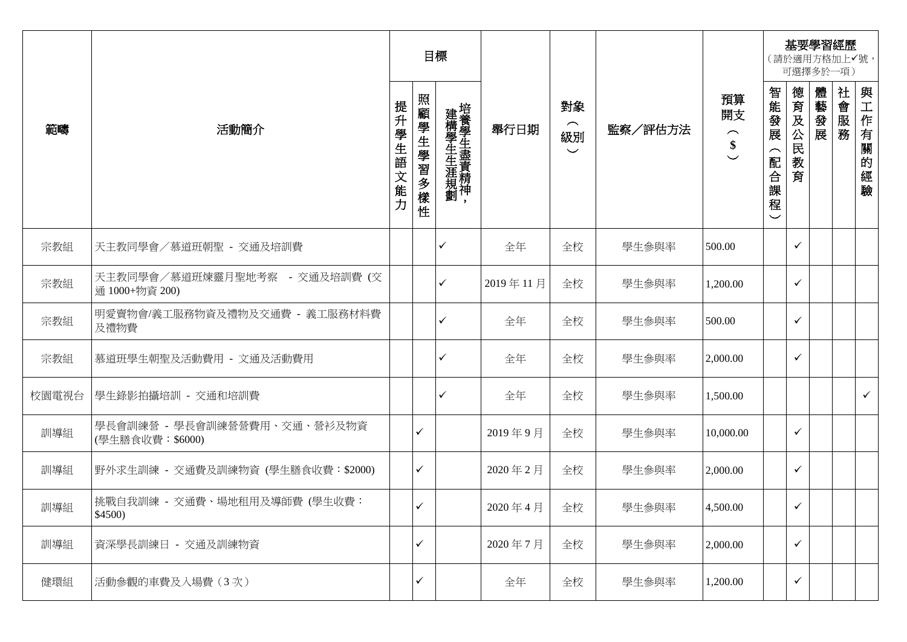|       |                                                 |               | 目標        |                   |          |                                                 |         |                                                                       | 基要學習經歷<br>(請於適用方格加上√號,<br>可選擇多於一項)                         |                 |      |      |              |
|-------|-------------------------------------------------|---------------|-----------|-------------------|----------|-------------------------------------------------|---------|-----------------------------------------------------------------------|------------------------------------------------------------|-----------------|------|------|--------------|
| 範疇    | 活動簡介                                            | 提升學生語<br>1文能力 | 照顧學生學習多樣性 | 建構學生生涯規劃培養學生盡責精神, | 舉行日期     | 對象<br>$\widehat{\phantom{m}}$<br>級別<br>$\smile$ | 監察/評估方法 | 預算<br>開支<br>$\widehat{\phantom{1}}$<br>\$<br>$\overline{\phantom{0}}$ | 智能發展<br>$\widehat{\phantom{1}}$<br>配合課<br>程<br>$\check{ }$ | 德育及公民<br>教<br>育 | 體藝發展 | 社會服務 | 與工作有關的<br>經驗 |
| 宗教組   | 天主教同學會/慕道班朝聖 - 交通及培訓費                           |               |           | ✓                 | 全年       | 全校                                              | 學生參與率   | 500.00                                                                |                                                            | $\checkmark$    |      |      |              |
| 宗教組   | 天主教同學會/慕道班煉靈月聖地考察 - 交通及培訓費 (交<br>通 1000+物資 200) |               |           | ✓                 | 2019年11月 | 全校                                              | 學生參與率   | 1,200.00                                                              |                                                            | $\checkmark$    |      |      |              |
| 宗教組   | 明愛賣物會/義工服務物資及禮物及交通費 - 義工服務材料費<br>及禮物費           |               |           | ✓                 | 全年       | 全校                                              | 學生參與率   | 500.00                                                                |                                                            | $\checkmark$    |      |      |              |
| 宗教組   | 慕道班學生朝聖及活動費用 - 文通及活動費用                          |               |           | ✓                 | 全年       | 全校                                              | 學生參與率   | 2,000.00                                                              |                                                            | $\checkmark$    |      |      |              |
| 校園電視台 | 學生錄影拍攝培訓 - 交通和培訓費                               |               |           | ✓                 | 全年       | 全校                                              | 學生參與率   | 1,500.00                                                              |                                                            |                 |      |      | $\checkmark$ |
| 訓導組   | 學長會訓練營 - 學長會訓練營營費用、交通、營衫及物資<br>(學生膳食收費: \$6000) |               | ✓         |                   | 2019年9月  | 全校                                              | 學生參與率   | 10,000.00                                                             |                                                            | $\checkmark$    |      |      |              |
| 訓導組   | 野外求生訓練 - 交通費及訓練物資 (學生膳食收費:\$2000)               |               | ✓         |                   | 2020年2月  | 全校                                              | 學生參與率   | 2,000.00                                                              |                                                            | $\checkmark$    |      |      |              |
| 訓導組   | 挑戰自我訓練 - 交通費、場地租用及導師費 (學生收費:<br>\$4500)         |               | ✓         |                   | 2020年4月  | 全校                                              | 學生參與率   | 4,500.00                                                              |                                                            | $\checkmark$    |      |      |              |
| 訓導組   | 資深學長訓練日 - 交通及訓練物資                               |               | ✓         |                   | 2020年7月  | 全校                                              | 學生參與率   | 2,000.00                                                              |                                                            | $\checkmark$    |      |      |              |
| 健環組   | 活動參觀的車費及入場費(3次)                                 |               | ✓         |                   | 全年       | 全校                                              | 學生參與率   | 1,200.00                                                              |                                                            | $\checkmark$    |      |      |              |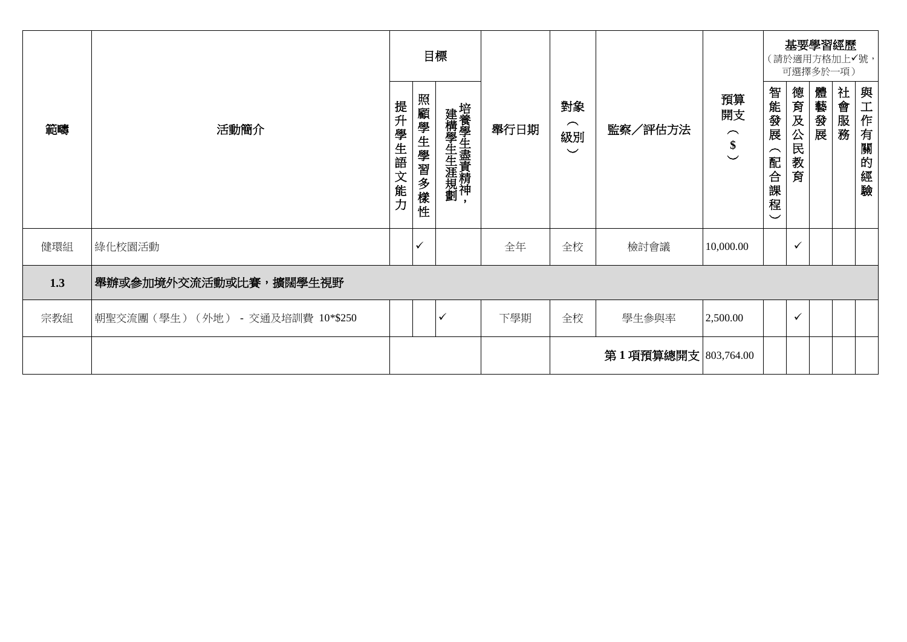|     |                                  | 目標       |           |                   |      |                                                 |                     |                                                                       | 基要學習經歷<br>(請於適用方格加上√號,<br>可選擇多於一項)                          |              |      |      |              |
|-----|----------------------------------|----------|-----------|-------------------|------|-------------------------------------------------|---------------------|-----------------------------------------------------------------------|-------------------------------------------------------------|--------------|------|------|--------------|
| 範疇  | 活動簡介                             | 提升學生語文能力 | 照顧學生學習多樣性 | 建構學生生涯規劃培養學生盡責精神, | 舉行日期 | 對象<br>$\widehat{\phantom{1}}$<br>級別<br>$\smile$ | 監察/評估方法             | 預算<br>開支<br>$\widehat{\phantom{1}}$<br>\$<br>$\overline{\phantom{0}}$ | 智能發展<br>$\overline{\phantom{1}}$<br>配合課<br>程<br>$\check{ }$ | 德育及公民<br>教育  | 體藝發展 | 社會服務 | 與工作有<br>關的經驗 |
| 健環組 | 綠化校園活動                           |          | ✓         |                   | 全年   | 全校                                              | 檢討會議                | 10,000.00                                                             |                                                             | $\checkmark$ |      |      |              |
| 1.3 | 舉辦或參加境外交流活動或比賽,擴闊學生視野            |          |           |                   |      |                                                 |                     |                                                                       |                                                             |              |      |      |              |
| 宗教組 | 朝聖交流團(學生) (外地) - 交通及培訓費 10*\$250 |          |           | ✓                 | 下學期  | 全校                                              | 學生參與率               | 2,500.00                                                              |                                                             | $\checkmark$ |      |      |              |
|     |                                  |          |           |                   |      |                                                 | 第1項預算總開支 803,764.00 |                                                                       |                                                             |              |      |      |              |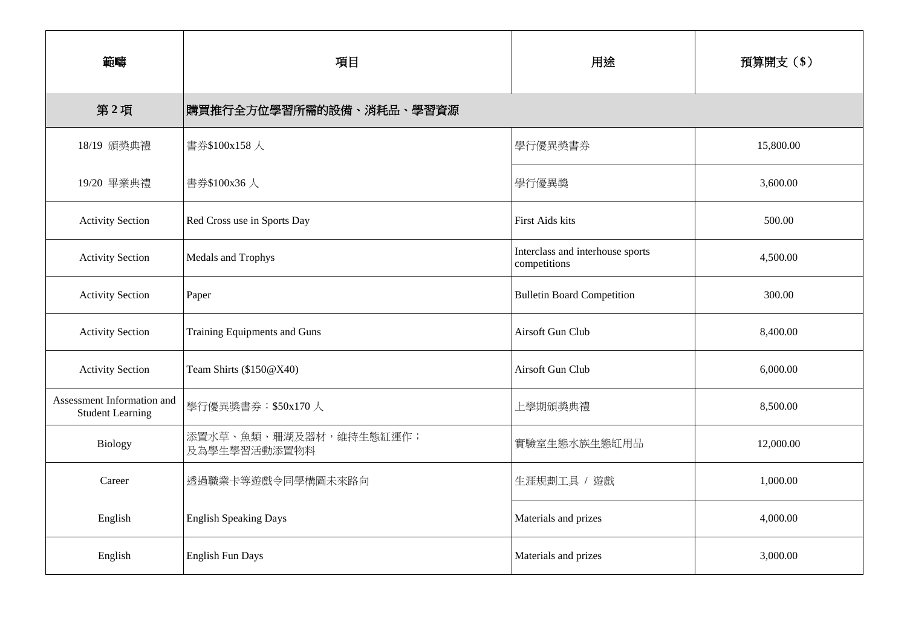| 範疇                                                    | 項目                                     | 用途                                               | 預算開支(\$)  |  |  |
|-------------------------------------------------------|----------------------------------------|--------------------------------------------------|-----------|--|--|
| 第2項                                                   | 購買推行全方位學習所需的設備、消耗品、學習資源                |                                                  |           |  |  |
| 18/19 頒獎典禮                                            | 書券\$100x158人                           | 學行優異獎書券                                          | 15,800.00 |  |  |
| 19/20 畢業典禮                                            | 書券\$100x36人                            | 學行優異獎                                            | 3,600.00  |  |  |
| <b>Activity Section</b>                               | Red Cross use in Sports Day            | First Aids kits                                  | 500.00    |  |  |
| <b>Activity Section</b>                               | Medals and Trophys                     | Interclass and interhouse sports<br>competitions | 4,500.00  |  |  |
| <b>Activity Section</b>                               | Paper                                  |                                                  | 300.00    |  |  |
| <b>Activity Section</b>                               | Training Equipments and Guns           | Airsoft Gun Club                                 | 8,400.00  |  |  |
| <b>Activity Section</b>                               | Team Shirts (\$150@X40)                | Airsoft Gun Club                                 | 6,000.00  |  |  |
| Assessment Information and<br><b>Student Learning</b> | 學行優異獎書券: \$50x170人                     | 上學期頒獎典禮                                          | 8,500.00  |  |  |
| <b>Biology</b>                                        | 添置水草、魚類、珊湖及器材,維持生態缸運作;<br>及為學生學習活動添置物料 | 實驗室生態水族生態缸用品                                     | 12,000.00 |  |  |
| Career                                                | 透過職業卡等遊戲令同學構圖未來路向                      | 生涯規劃工具 / 遊戲                                      | 1,000.00  |  |  |
| English                                               | <b>English Speaking Days</b>           | Materials and prizes                             | 4,000.00  |  |  |
| English                                               | <b>English Fun Days</b>                | Materials and prizes                             | 3,000.00  |  |  |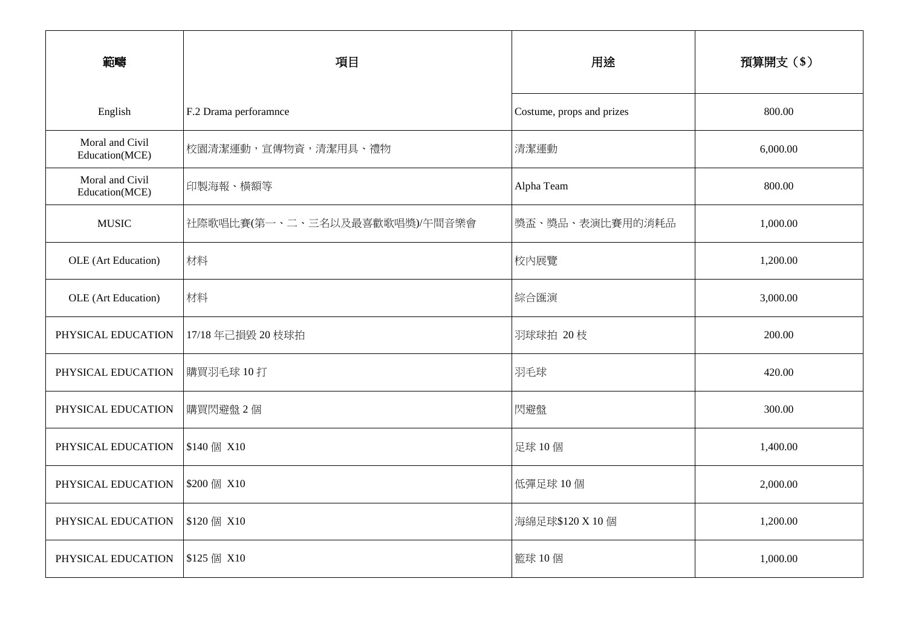| 範疇                                | 項目                            | 用途                        | 預算開支(\$) |  |  |
|-----------------------------------|-------------------------------|---------------------------|----------|--|--|
|                                   |                               |                           |          |  |  |
| English                           | F.2 Drama perforamnce         | Costume, props and prizes | 800.00   |  |  |
| Moral and Civil<br>Education(MCE) | 校園清潔運動,宣傳物資,清潔用具、禮物           | 清潔運動                      | 6,000.00 |  |  |
| Moral and Civil<br>Education(MCE) | 印製海報、橫額等                      | Alpha Team                | 800.00   |  |  |
| <b>MUSIC</b>                      | 社際歌唱比賽(第一、二、三名以及最喜歡歌唱獎)/午間音樂會 | 獎盃、獎品、表演比賽用的消耗品           | 1,000.00 |  |  |
| OLE (Art Education)               | 材料                            | 校内展覽                      | 1,200.00 |  |  |
| OLE (Art Education)               | 材料                            | 綜合匯演                      | 3,000.00 |  |  |
| PHYSICAL EDUCATION                | 17/18年己損毀 20 枝球拍              | 羽球球拍 20枝                  | 200.00   |  |  |
| PHYSICAL EDUCATION                | 購買羽毛球 10打                     | 羽毛球                       | 420.00   |  |  |
| PHYSICAL EDUCATION                | 購買閃避盤2個                       | 閃避盤                       | 300.00   |  |  |
| PHYSICAL EDUCATION                | \$140 個 X10                   | 足球 10個                    | 1,400.00 |  |  |
| PHYSICAL EDUCATION                | \$200 個 X10                   | 低彈足球 10個                  | 2,000.00 |  |  |
| PHYSICAL EDUCATION                | \$120 個 X10                   | 海綿足球\$120 X 10 個          | 1,200.00 |  |  |
| PHYSICAL EDUCATION                | \$125 個 X10                   | 籃球 10個                    | 1,000.00 |  |  |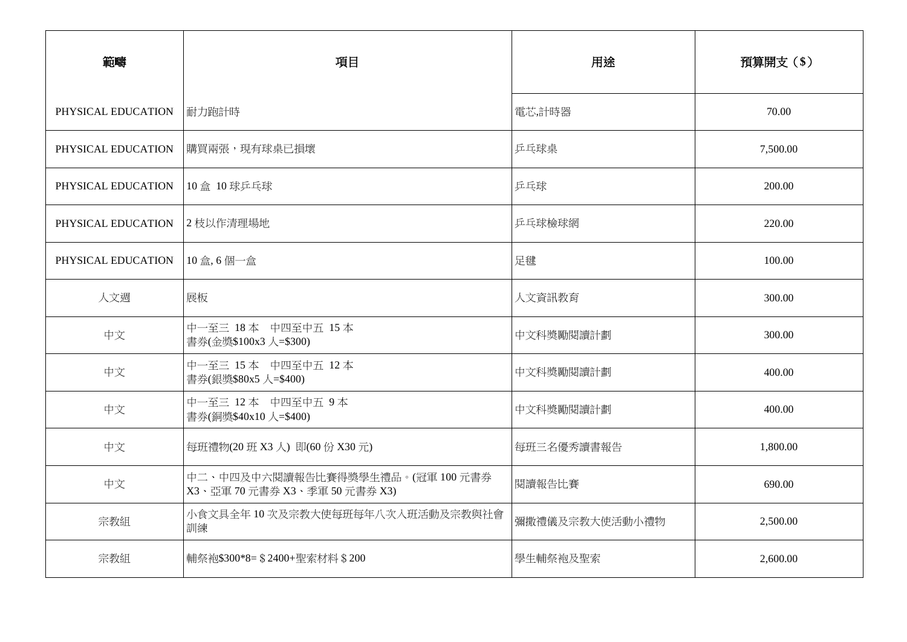| 範疇                 | 項目                                                            | 用途             | 預算開支(\$) |  |  |
|--------------------|---------------------------------------------------------------|----------------|----------|--|--|
| PHYSICAL EDUCATION | 耐力跑計時                                                         | 電芯,計時器         | 70.00    |  |  |
| PHYSICAL EDUCATION | 購買兩張,現有球桌已損壞                                                  | 乒乓球桌           | 7,500.00 |  |  |
| PHYSICAL EDUCATION | 10盒 10 球乒乓球                                                   | 乒乓球            | 200.00   |  |  |
| PHYSICAL EDUCATION | 2 枝以作清理場地                                                     | 乒乓球檢球網         | 220.00   |  |  |
| PHYSICAL EDUCATION | 10盒,6個一盒                                                      | 足毽             | 100.00   |  |  |
| 人文週                | 展板                                                            | 人文資訊教育         | 300.00   |  |  |
| 中文                 | 中一至三 18本 中四至中五 15本<br>書券(金獎\$100x3 人=\$300)                   | 中文科獎勵閱讀計劃      | 300.00   |  |  |
| 中文                 | 中一至三 15本 中四至中五 12本<br>書券(銀獎\$80x5 人=\$400)                    | 中文科獎勵閱讀計劃      | 400.00   |  |  |
| 中文                 | 中一至三 12本 中四至中五 9本<br>書券(銅獎\$40x10 人=\$400)                    | 中文科獎勵閱讀計劃      | 400.00   |  |  |
| 中文                 | 每班禮物(20 班 X3 人) 即(60 份 X30 元)                                 | 每班三名優秀讀書報告     | 1,800.00 |  |  |
| 中文                 | 中二、中四及中六閱讀報告比賽得獎學生禮品。(冠軍100元書券<br>X3、亞軍 70元書券 X3、季軍 50元書券 X3) | 閱讀報告比賽         | 690.00   |  |  |
| 宗教組                | 小食文具全年10次及宗教大使每班每年八次入班活動及宗教與社會<br>訓練                          | 彌撒禮儀及宗教大使活動小禮物 | 2,500.00 |  |  |
| 宗教組                | 輔祭袍\$300*8= \$2400+聖索材料 \$200                                 | 學生輔祭袍及聖索       | 2,600.00 |  |  |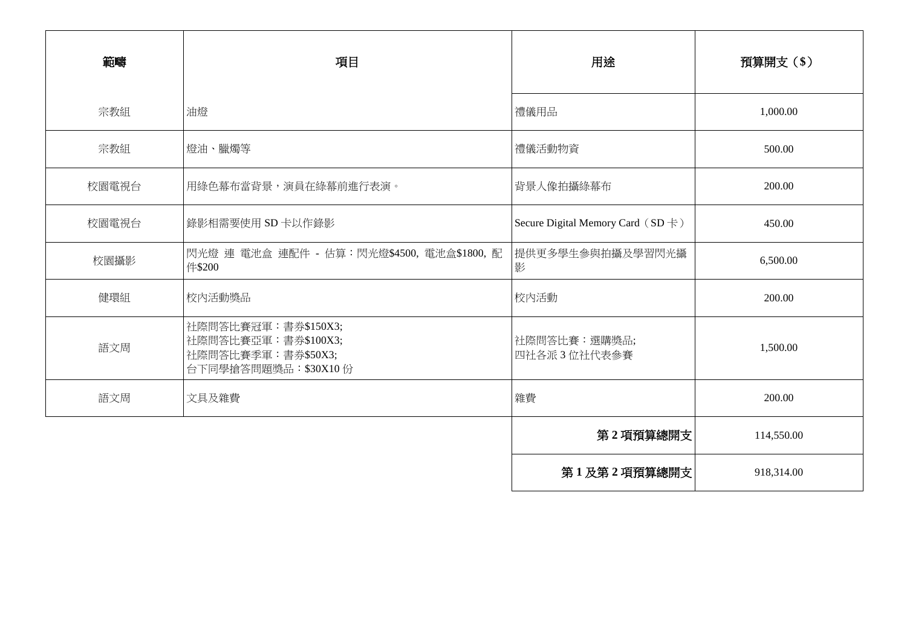| 範疇    | 項目                                                                                         | 用途                                       | 預算開支 (\$)  |
|-------|--------------------------------------------------------------------------------------------|------------------------------------------|------------|
| 宗教組   | 油燈                                                                                         | 禮儀用品                                     | 1,000.00   |
| 宗教組   | 燈油、臘燭等                                                                                     | 禮儀活動物資                                   | 500.00     |
| 校園電視台 | 用綠色幕布當背景,演員在綠幕前進行表演。                                                                       | 背景人像拍攝綠幕布                                | 200.00     |
| 校園電視台 | 錄影相需要使用 SD 卡以作錄影                                                                           | Secure Digital Memory Card $(SD \nless)$ | 450.00     |
| 校園攝影  | 閃光燈 連 電池盒 連配件 - 估算:閃光燈\$4500, 電池盒\$1800, 配<br>件\$200                                       | 提供更多學生參與拍攝及學習閃光攝<br>影                    | 6,500.00   |
| 健環組   | 校内活動獎品                                                                                     | 校内活動                                     | 200.00     |
| 語文周   | 社際問答比賽冠軍: 書券\$150X3;<br>社際問答比賽亞軍: 書券\$100X3;<br>社際問答比賽季軍:書券\$50X3;<br>台下同學搶答問題獎品: \$30X10份 | 社際問答比賽:選購獎品;<br>四社各派3位社代表参賽              | 1,500.00   |
| 語文周   | 文具及雜費                                                                                      | 雜費                                       | 200.00     |
|       |                                                                                            | 第2項預算總開支                                 | 114,550.00 |
|       |                                                                                            | 第1及第2項預算總開支                              | 918,314.00 |